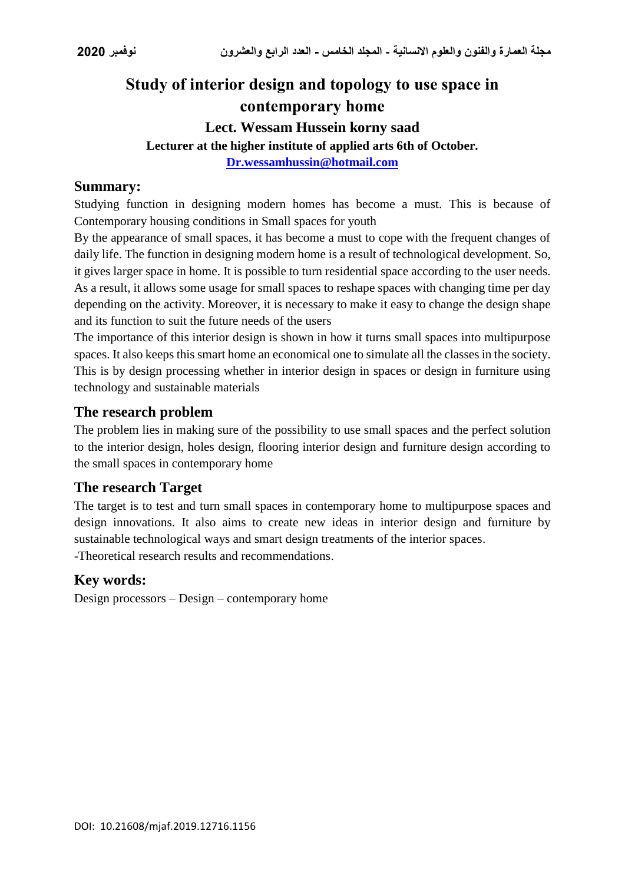## **Study of interior design and topology to use space in contemporary home**

# **Lect. Wessam Hussein korny saad**

**Lecturer at the higher institute of applied arts 6th of October.**

**[Dr.wessamhussin@hotmail.com](mailto:Dr.wessamhussin@hotmail.com)**

#### **Summary:**

Studying function in designing modern homes has become a must. This is because of Contemporary housing conditions in Small spaces for youth

By the appearance of small spaces, it has become a must to cope with the frequent changes of daily life. The function in designing modern home is a result of technological development. So, it gives larger space in home. It is possible to turn residential space according to the user needs. As a result, it allows some usage for small spaces to reshape spaces with changing time per day depending on the activity. Moreover, it is necessary to make it easy to change the design shape and its function to suit the future needs of the users

The importance of this interior design is shown in how it turns small spaces into multipurpose spaces. It also keeps this smart home an economical one to simulate all the classes in the society. This is by design processing whether in interior design in spaces or design in furniture using technology and sustainable materials

#### **The research problem**

The problem lies in making sure of the possibility to use small spaces and the perfect solution to the interior design, holes design, flooring interior design and furniture design according to the small spaces in contemporary home

#### **The research Target**

The target is to test and turn small spaces in contemporary home to multipurpose spaces and design innovations. It also aims to create new ideas in interior design and furniture by sustainable technological ways and smart design treatments of the interior spaces. -Theoretical research results and recommendations.

#### **Key words:**

Design processors – Design – contemporary home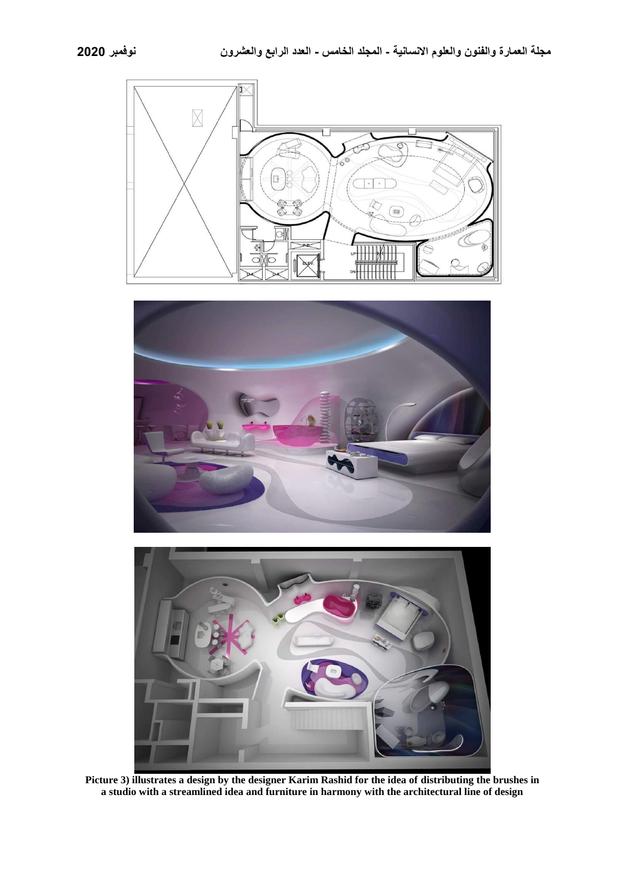





**Picture 3) illustrates a design by the designer Karim Rashid for the idea of distributing the brushes in a studio with a streamlined idea and furniture in harmony with the architectural line of design**